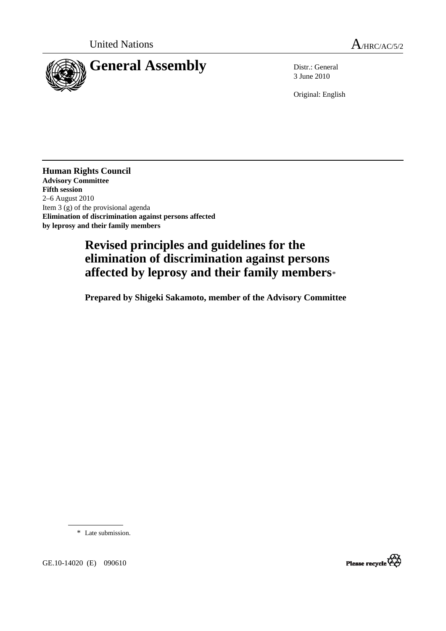

3 June 2010

Original: English

**Human Rights Council Advisory Committee Fifth session**  2–6 August 2010 Item 3 (g) of the provisional agenda **Elimination of discrimination against persons affected by leprosy and their family members** 

# **Revised principles and guidelines for the elimination of discrimination against persons affected by leprosy and their family members**[\\*](#page-0-0)

 **Prepared by Shigeki Sakamoto, member of the Advisory Committee** 

\* Late submission.



<span id="page-0-0"></span>GE.10-14020 (E) 090610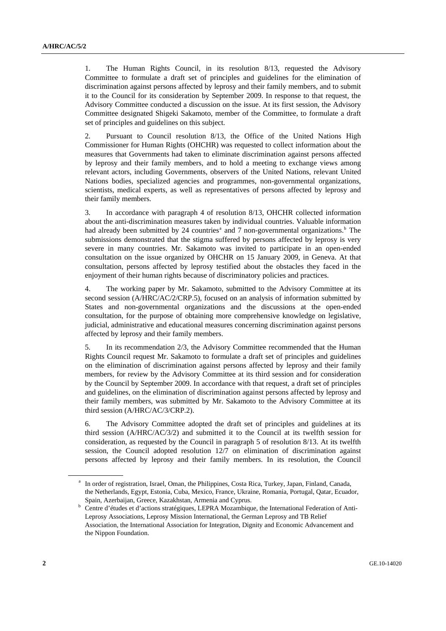1. The Human Rights Council, in its resolution 8/13, requested the Advisory Committee to formulate a draft set of principles and guidelines for the elimination of discrimination against persons affected by leprosy and their family members, and to submit it to the Council for its consideration by September 2009. In response to that request, the Advisory Committee conducted a discussion on the issue. At its first session, the Advisory Committee designated Shigeki Sakamoto, member of the Committee, to formulate a draft set of principles and guidelines on this subject.

2. Pursuant to Council resolution 8/13, the Office of the United Nations High Commissioner for Human Rights (OHCHR) was requested to collect information about the measures that Governments had taken to eliminate discrimination against persons affected by leprosy and their family members, and to hold a meeting to exchange views among relevant actors, including Governments, observers of the United Nations, relevant United Nations bodies, specialized agencies and programmes, non-governmental organizations, scientists, medical experts, as well as representatives of persons affected by leprosy and their family members.

3. In accordance with paragraph 4 of resolution 8/13, OHCHR collected information about the anti-discrimination measures taken by individual countries. Valuable information h[a](#page-1-0)d already been submitted by 24 countries<sup>ª</sup> and 7 non-governmental organizations.<sup>b</sup> The submissions demonstrated that the stigma suffered by persons affected by leprosy is very severe in many countries. Mr. Sakamoto was invited to participate in an open-ended consultation on the issue organized by OHCHR on 15 January 2009, in Geneva. At that consultation, persons affected by leprosy testified about the obstacles they faced in the enjoyment of their human rights because of discriminatory policies and practices.

4. The working paper by Mr. Sakamoto, submitted to the Advisory Committee at its second session (A/HRC/AC/2/CRP.5), focused on an analysis of information submitted by States and non-governmental organizations and the discussions at the open-ended consultation, for the purpose of obtaining more comprehensive knowledge on legislative, judicial, administrative and educational measures concerning discrimination against persons affected by leprosy and their family members.

5. In its recommendation 2/3, the Advisory Committee recommended that the Human Rights Council request Mr. Sakamoto to formulate a draft set of principles and guidelines on the elimination of discrimination against persons affected by leprosy and their family members, for review by the Advisory Committee at its third session and for consideration by the Council by September 2009. In accordance with that request, a draft set of principles and guidelines, on the elimination of discrimination against persons affected by leprosy and their family members, was submitted by Mr. Sakamoto to the Advisory Committee at its third session (A/HRC/AC/3/CRP.2).

6. The Advisory Committee adopted the draft set of principles and guidelines at its third session (A/HRC/AC/3/2) and submitted it to the Council at its twelfth session for consideration, as requested by the Council in paragraph 5 of resolution 8/13. At its twelfth session, the Council adopted resolution 12/7 on elimination of discrimination against persons affected by leprosy and their family members. In its resolution, the Council

<span id="page-1-0"></span><sup>&</sup>lt;sup>a</sup> In order of registration, Israel, Oman, the Philippines, Costa Rica, Turkey, Japan, Finland, Canada, the Netherlands, Egypt, Estonia, Cuba, Mexico, France, Ukraine, Romania, Portugal, Qatar, Ecuador,

<span id="page-1-1"></span>Spain, Azerbaijan, Greece, Kazakhstan, Armenia and Cyprus.<br><sup>b</sup> Centre d'études et d'actions stratégiques, LEPRA Mozambique, the International Federation of Anti-Leprosy Associations, Leprosy Mission International, the German Leprosy and TB Relief Association, the International Association for Integration, Dignity and Economic Advancement and the Nippon Foundation.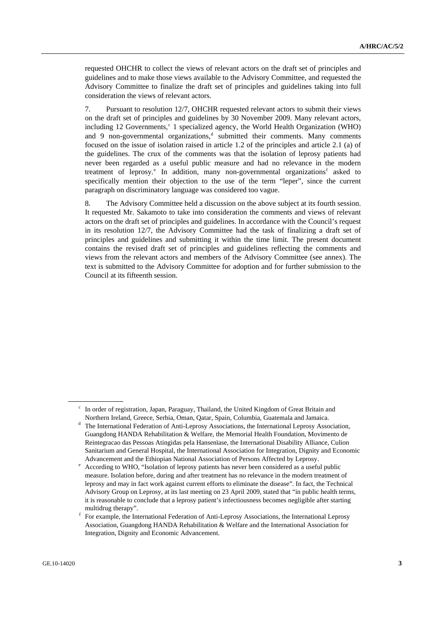requested OHCHR to collect the views of relevant actors on the draft set of principles and guidelines and to make those views available to the Advisory Committee, and requested the Advisory Committee to finalize the draft set of principles and guidelines taking into full consideration the views of relevant actors.

7. Pursuant to resolution 12/7, OHCHR requested relevant actors to submit their views on the draft set of principles and guidelines by 30 November 2009. Many relevant actors, in[c](#page-2-0)luding 12 Governments,<sup>c</sup> 1 specialized agency, the World Health Organization (WHO) an[d](#page-2-1) 9 non-governmental organizations,<sup>d</sup> submitted their comments. Many comments focused on the issue of isolation raised in article 1.2 of the principles and article 2.1 (a) of the guidelines. The crux of the comments was that the isolation of leprosy patients had never been regarded as a useful public measure and had no relevance in the modern tr[e](#page-2-2)atment of leprosy.<sup>e</sup> In addition, many non-governmental organizations<sup>f</sup> asked to specifically mention their objection to the use of the term "leper", since the current paragraph on discriminatory language was considered too vague.

8. The Advisory Committee held a discussion on the above subject at its fourth session. It requested Mr. Sakamoto to take into consideration the comments and views of relevant actors on the draft set of principles and guidelines. In accordance with the Council's request in its resolution 12/7, the Advisory Committee had the task of finalizing a draft set of principles and guidelines and submitting it within the time limit. The present document contains the revised draft set of principles and guidelines reflecting the comments and views from the relevant actors and members of the Advisory Committee (see annex). The text is submitted to the Advisory Committee for adoption and for further submission to the Council at its fifteenth session.

c In order of registration, Japan, Paraguay, Thailand, the United Kingdom of Great Britain and Northern Ireland, Greece, Serbia, Oman, Qatar, Spain, Columbia, Guatemala and Jamaica. d

<span id="page-2-1"></span><span id="page-2-0"></span>The International Federation of Anti-Leprosy Associations, the International Leprosy Association, Guangdong HANDA Rehabilitation & Welfare, the Memorial Health Foundation, Movimento de Reintegracao das Pessoas Atingidas pela Hansenïase, the International Disability Alliance, Culion Sanitarium and General Hospital, the International Association for Integration, Dignity and Economic

<span id="page-2-2"></span>Advancement and the Ethiopian National Association of Persons Affected by Leprosy.<br>
<sup>e</sup> According to WHO, "Isolation of leprosy patients has never been considered as a useful public measure. Isolation before, during and after treatment has no relevance in the modern treatment of leprosy and may in fact work against current efforts to eliminate the disease". In fact, the Technical Advisory Group on Leprosy, at its last meeting on 23 April 2009, stated that "in public health terms, it is reasonable to conclude that a leprosy patient's infectiousness becomes negligible after starting multidrug therapy".

<span id="page-2-3"></span>For example, the International Federation of Anti-Leprosy Associations, the International Leprosy Association, Guangdong HANDA Rehabilitation & Welfare and the International Association for Integration, Dignity and Economic Advancement.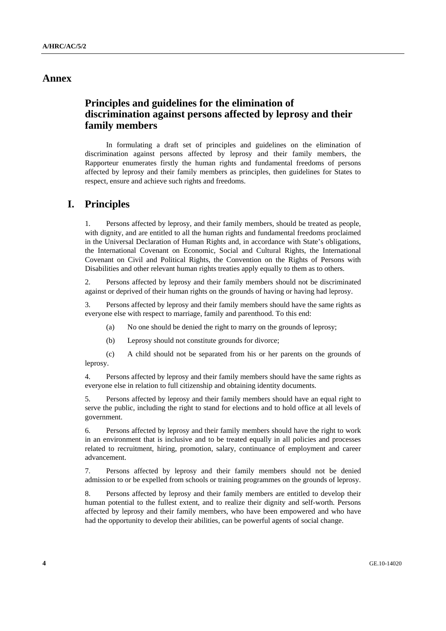# **Annex**

# **Principles and guidelines for the elimination of discrimination against persons affected by leprosy and their family members**

 In formulating a draft set of principles and guidelines on the elimination of discrimination against persons affected by leprosy and their family members, the Rapporteur enumerates firstly the human rights and fundamental freedoms of persons affected by leprosy and their family members as principles, then guidelines for States to respect, ensure and achieve such rights and freedoms.

# **I. Principles**

1. Persons affected by leprosy, and their family members, should be treated as people, with dignity, and are entitled to all the human rights and fundamental freedoms proclaimed in the Universal Declaration of Human Rights and, in accordance with State's obligations, the International Covenant on Economic, Social and Cultural Rights, the International Covenant on Civil and Political Rights, the Convention on the Rights of Persons with Disabilities and other relevant human rights treaties apply equally to them as to others.

2. Persons affected by leprosy and their family members should not be discriminated against or deprived of their human rights on the grounds of having or having had leprosy.

3. Persons affected by leprosy and their family members should have the same rights as everyone else with respect to marriage, family and parenthood. To this end:

- (a) No one should be denied the right to marry on the grounds of leprosy;
- (b) Leprosy should not constitute grounds for divorce;

 (c) A child should not be separated from his or her parents on the grounds of leprosy.

4. Persons affected by leprosy and their family members should have the same rights as everyone else in relation to full citizenship and obtaining identity documents.

5. Persons affected by leprosy and their family members should have an equal right to serve the public, including the right to stand for elections and to hold office at all levels of government.

6. Persons affected by leprosy and their family members should have the right to work in an environment that is inclusive and to be treated equally in all policies and processes related to recruitment, hiring, promotion, salary, continuance of employment and career advancement.

7. Persons affected by leprosy and their family members should not be denied admission to or be expelled from schools or training programmes on the grounds of leprosy.

8. Persons affected by leprosy and their family members are entitled to develop their human potential to the fullest extent, and to realize their dignity and self-worth. Persons affected by leprosy and their family members, who have been empowered and who have had the opportunity to develop their abilities, can be powerful agents of social change.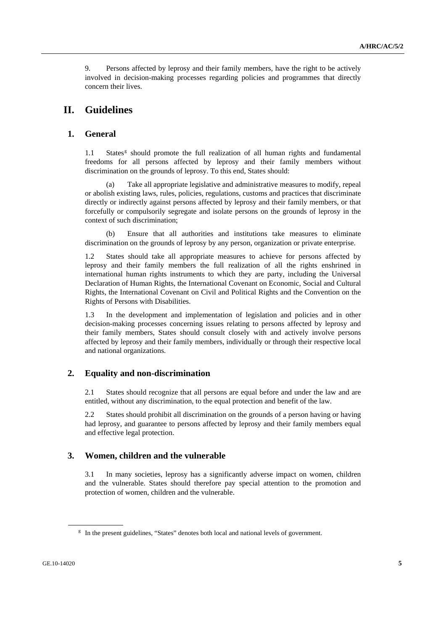9. Persons affected by leprosy and their family members, have the right to be actively involved in decision-making processes regarding policies and programmes that directly concern their lives.

# **II. Guidelines**

### **1. General**

1.1 States<sup>[g](#page-4-0)</sup> should promote the full realization of all human rights and fundamental freedoms for all persons affected by leprosy and their family members without discrimination on the grounds of leprosy. To this end, States should:

Take all appropriate legislative and administrative measures to modify, repeal or abolish existing laws, rules, policies, regulations, customs and practices that discriminate directly or indirectly against persons affected by leprosy and their family members, or that forcefully or compulsorily segregate and isolate persons on the grounds of leprosy in the context of such discrimination;

Ensure that all authorities and institutions take measures to eliminate discrimination on the grounds of leprosy by any person, organization or private enterprise.

1.2 States should take all appropriate measures to achieve for persons affected by leprosy and their family members the full realization of all the rights enshrined in international human rights instruments to which they are party, including the Universal Declaration of Human Rights, the International Covenant on Economic, Social and Cultural Rights, the International Covenant on Civil and Political Rights and the Convention on the Rights of Persons with Disabilities.

1.3 In the development and implementation of legislation and policies and in other decision-making processes concerning issues relating to persons affected by leprosy and their family members, States should consult closely with and actively involve persons affected by leprosy and their family members, individually or through their respective local and national organizations.

#### **2. Equality and non-discrimination**

2.1 States should recognize that all persons are equal before and under the law and are entitled, without any discrimination, to the equal protection and benefit of the law.

2.2 States should prohibit all discrimination on the grounds of a person having or having had leprosy, and guarantee to persons affected by leprosy and their family members equal and effective legal protection.

#### **3. Women, children and the vulnerable**

3.1 In many societies, leprosy has a significantly adverse impact on women, children and the vulnerable. States should therefore pay special attention to the promotion and protection of women, children and the vulnerable.

<span id="page-4-0"></span><sup>&</sup>lt;sup>g</sup> In the present guidelines, "States" denotes both local and national levels of government.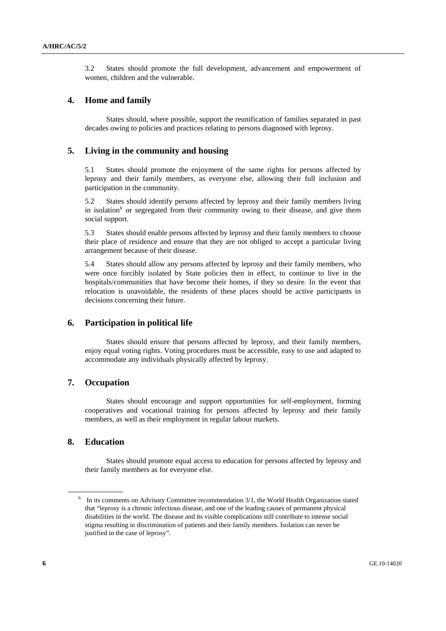3.2 States should promote the full development, advancement and empowerment of women, children and the vulnerable.

#### **4. Home and family**

 States should, where possible, support the reunification of families separated in past decades owing to policies and practices relating to persons diagnosed with leprosy.

#### **5. Living in the community and housing**

5.1 States should promote the enjoyment of the same rights for persons affected by leprosy and their family members, as everyone else, allowing their full inclusion and participation in the community.

5.2 States should identify persons affected by leprosy and their family members living in isolation<sup>[h](#page-5-0)</sup> or segregated from their community owing to their disease, and give them social support.

5.3 States should enable persons affected by leprosy and their family members to choose their place of residence and ensure that they are not obliged to accept a particular living arrangement because of their disease.

5.4 States should allow any persons affected by leprosy and their family members, who were once forcibly isolated by State policies then in effect, to continue to live in the hospitals/communities that have become their homes, if they so desire. In the event that relocation is unavoidable, the residents of these places should be active participants in decisions concerning their future.

#### **6. Participation in political life**

 States should ensure that persons affected by leprosy, and their family members, enjoy equal voting rights. Voting procedures must be accessible, easy to use and adapted to accommodate any individuals physically affected by leprosy.

#### **7. Occupation**

 States should encourage and support opportunities for self-employment, forming cooperatives and vocational training for persons affected by leprosy and their family members, as well as their employment in regular labour markets.

#### **8. Education**

 States should promote equal access to education for persons affected by leprosy and their family members as for everyone else.

<span id="page-5-0"></span><sup>&</sup>lt;sup>h</sup> In its comments on Advisory Committee recommendation 3/1, the World Health Organization stated that "leprosy is a chronic infectious disease, and one of the leading causes of permanent physical disabilities in the world. The disease and its visible complications still contribute to intense social stigma resulting in discrimination of patients and their family members. Isolation can never be justified in the case of leprosy".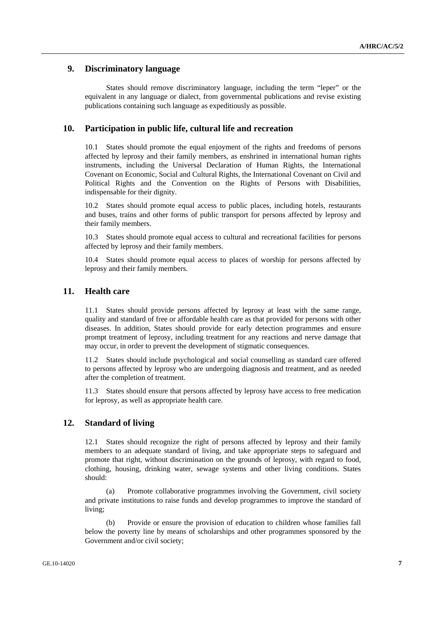### **9. Discriminatory language**

 States should remove discriminatory language, including the term "leper" or the equivalent in any language or dialect, from governmental publications and revise existing publications containing such language as expeditiously as possible.

#### **10. Participation in public life, cultural life and recreation**

10.1 States should promote the equal enjoyment of the rights and freedoms of persons affected by leprosy and their family members, as enshrined in international human rights instruments, including the Universal Declaration of Human Rights, the International Covenant on Economic, Social and Cultural Rights, the International Covenant on Civil and Political Rights and the Convention on the Rights of Persons with Disabilities, indispensable for their dignity.

10.2 States should promote equal access to public places, including hotels, restaurants and buses, trains and other forms of public transport for persons affected by leprosy and their family members.

10.3 States should promote equal access to cultural and recreational facilities for persons affected by leprosy and their family members.

10.4 States should promote equal access to places of worship for persons affected by leprosy and their family members.

#### **11. Health care**

11.1 States should provide persons affected by leprosy at least with the same range, quality and standard of free or affordable health care as that provided for persons with other diseases. In addition, States should provide for early detection programmes and ensure prompt treatment of leprosy, including treatment for any reactions and nerve damage that may occur, in order to prevent the development of stigmatic consequences.

11.2 States should include psychological and social counselling as standard care offered to persons affected by leprosy who are undergoing diagnosis and treatment, and as needed after the completion of treatment.

11.3 States should ensure that persons affected by leprosy have access to free medication for leprosy, as well as appropriate health care.

# **12. Standard of living**

12.1 States should recognize the right of persons affected by leprosy and their family members to an adequate standard of living, and take appropriate steps to safeguard and promote that right, without discrimination on the grounds of leprosy, with regard to food, clothing, housing, drinking water, sewage systems and other living conditions. States should:

 (a) Promote collaborative programmes involving the Government, civil society and private institutions to raise funds and develop programmes to improve the standard of living;

 (b) Provide or ensure the provision of education to children whose families fall below the poverty line by means of scholarships and other programmes sponsored by the Government and/or civil society;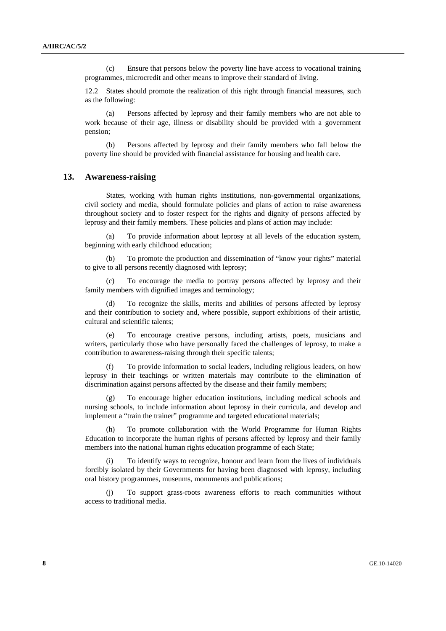(c) Ensure that persons below the poverty line have access to vocational training programmes, microcredit and other means to improve their standard of living.

12.2 States should promote the realization of this right through financial measures, such as the following:

 (a) Persons affected by leprosy and their family members who are not able to work because of their age, illness or disability should be provided with a government pension;

 (b) Persons affected by leprosy and their family members who fall below the poverty line should be provided with financial assistance for housing and health care.

#### **13. Awareness-raising**

 States, working with human rights institutions, non-governmental organizations, civil society and media, should formulate policies and plans of action to raise awareness throughout society and to foster respect for the rights and dignity of persons affected by leprosy and their family members. These policies and plans of action may include:

 (a) To provide information about leprosy at all levels of the education system, beginning with early childhood education;

 (b) To promote the production and dissemination of "know your rights" material to give to all persons recently diagnosed with leprosy;

To encourage the media to portray persons affected by leprosy and their family members with dignified images and terminology;

 (d) To recognize the skills, merits and abilities of persons affected by leprosy and their contribution to society and, where possible, support exhibitions of their artistic, cultural and scientific talents;

 (e) To encourage creative persons, including artists, poets, musicians and writers, particularly those who have personally faced the challenges of leprosy, to make a contribution to awareness-raising through their specific talents;

 (f) To provide information to social leaders, including religious leaders, on how leprosy in their teachings or written materials may contribute to the elimination of discrimination against persons affected by the disease and their family members;

To encourage higher education institutions, including medical schools and nursing schools, to include information about leprosy in their curricula, and develop and implement a "train the trainer" programme and targeted educational materials;

 (h) To promote collaboration with the World Programme for Human Rights Education to incorporate the human rights of persons affected by leprosy and their family members into the national human rights education programme of each State;

To identify ways to recognize, honour and learn from the lives of individuals forcibly isolated by their Governments for having been diagnosed with leprosy, including oral history programmes, museums, monuments and publications;

 (j) To support grass-roots awareness efforts to reach communities without access to traditional media.